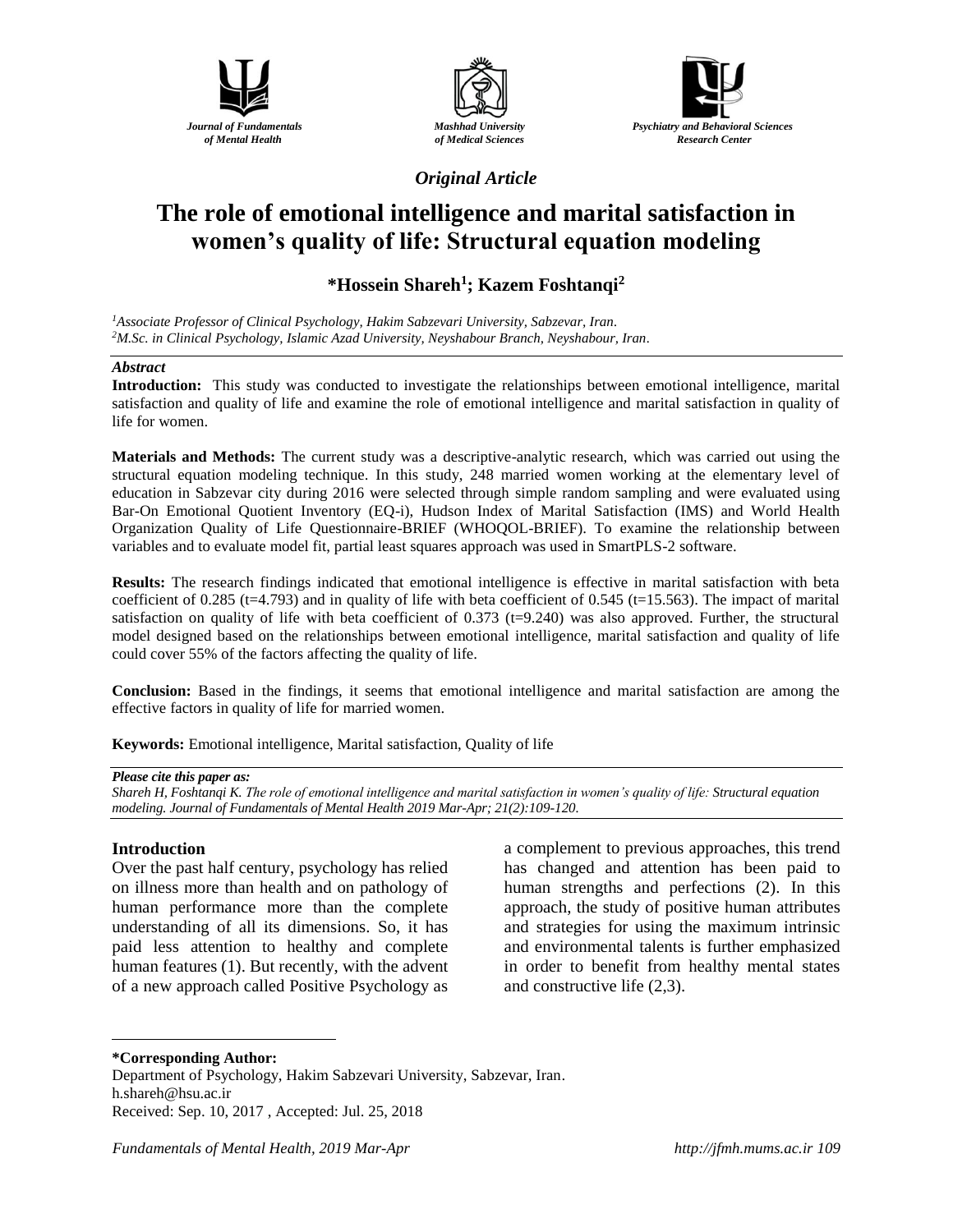





*Original Article*

# **The role of emotional intelligence and marital satisfaction in women's quality of life: Structural equation modeling**

# **\*Hossein Shareh<sup>1</sup> ; Kazem Foshtanqi<sup>2</sup>**

*<sup>1</sup>Associate Professor of Clinical Psychology, Hakim Sabzevari University, Sabzevar, Iran. <sup>2</sup>M.Sc. in Clinical Psychology, Islamic Azad University, Neyshabour Branch, Neyshabour, Iran.*

### *Abstract*

**Introduction:** This study was conducted to investigate the relationships between emotional intelligence, marital satisfaction and quality of life and examine the role of emotional intelligence and marital satisfaction in quality of life for women.

**Materials and Methods:** The current study was a descriptive-analytic research, which was carried out using the structural equation modeling technique. In this study, 248 married women working at the elementary level of education in Sabzevar city during 2016 were selected through simple random sampling and were evaluated using Bar-On Emotional Quotient Inventory (EQ-i), Hudson Index of Marital Satisfaction (IMS) and World Health Organization Quality of Life Questionnaire-BRIEF (WHOQOL-BRIEF). To examine the relationship between variables and to evaluate model fit, partial least squares approach was used in SmartPLS-2 software.

**Results:** The research findings indicated that emotional intelligence is effective in marital satisfaction with beta coefficient of 0.285 (t=4.793) and in quality of life with beta coefficient of 0.545 (t=15.563). The impact of marital satisfaction on quality of life with beta coefficient of 0.373 (t=9.240) was also approved. Further, the structural model designed based on the relationships between emotional intelligence, marital satisfaction and quality of life could cover 55% of the factors affecting the quality of life.

**Conclusion:** Based in the findings, it seems that emotional intelligence and marital satisfaction are among the effective factors in quality of life for married women.

**Keywords:** Emotional intelligence, Marital satisfaction, Quality of life

*Shareh H, Foshtanqi K. The role of emotional intelligence and marital satisfaction in women's quality of life: Structural equation modeling. Journal of Fundamentals of Mental Health 2019 Mar-Apr; 21(2):109-120.*

# **Introduction**

 $\overline{a}$ 

Over the past half century, psychology has relied on illness more than health and on pathology of human performance more than the complete understanding of all its dimensions. So, it has paid less attention to healthy and complete human features (1). But recently, with the advent of a new approach called Positive Psychology as

a complement to previous approaches, this trend has changed and attention has been paid to human strengths and perfections (2). In this approach, the study of positive human attributes and strategies for using the maximum intrinsic and environmental talents is further emphasized in order to benefit from healthy mental states and constructive life (2,3).

### **\*Corresponding Author:**

*Please cite this paper as:* 

Department of Psychology, Hakim Sabzevari University, Sabzevar, Iran. h.shareh@hsu.ac.ir Received: Sep. 10, 2017 , Accepted: Jul. 25, 2018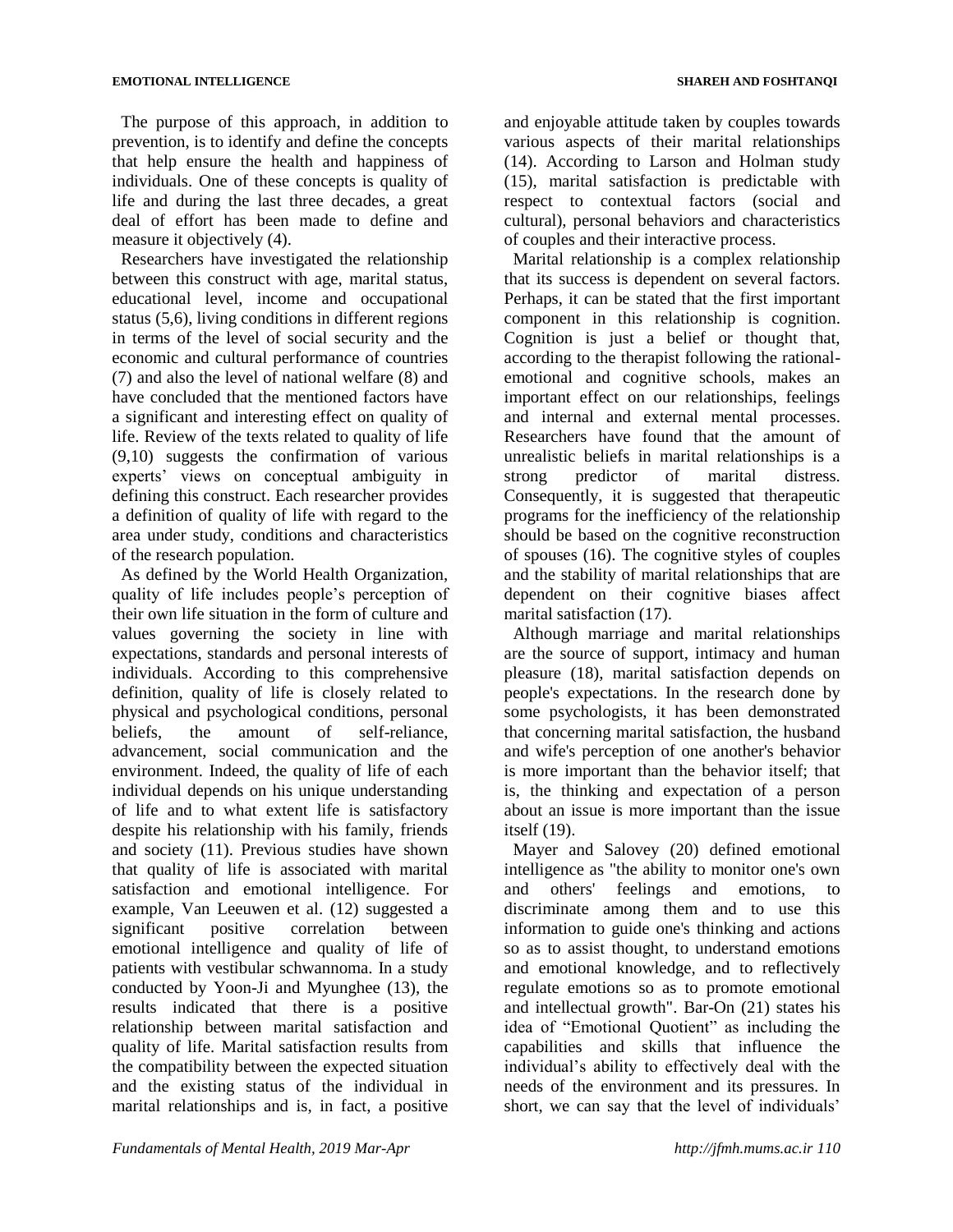The purpose of this approach, in addition to prevention, is to identify and define the concepts that help ensure the health and happiness of individuals. One of these concepts is quality of life and during the last three decades, a great deal of effort has been made to define and measure it objectively (4).

Researchers have investigated the relationship between this construct with age, marital status, educational level, income and occupational status (5,6), living conditions in different regions in terms of the level of social security and the economic and cultural performance of countries (7) and also the level of national welfare (8) and have concluded that the mentioned factors have a significant and interesting effect on quality of life. Review of the texts related to quality of life (9,10) suggests the confirmation of various experts' views on conceptual ambiguity in defining this construct. Each researcher provides a definition of quality of life with regard to the area under study, conditions and characteristics of the research population.

As defined by the World Health Organization, quality of life includes people's perception of their own life situation in the form of culture and values governing the society in line with expectations, standards and personal interests of individuals. According to this comprehensive definition, quality of life is closely related to physical and psychological conditions, personal beliefs, the amount of self-reliance, advancement, social communication and the environment. Indeed, the quality of life of each individual depends on his unique understanding of life and to what extent life is satisfactory despite his relationship with his family, friends and society (11). Previous studies have shown that quality of life is associated with marital satisfaction and emotional intelligence. For example, Van Leeuwen et al. (12) suggested a significant positive correlation between emotional intelligence and quality of life of patients with vestibular schwannoma. In a study conducted by Yoon-Ji and Myunghee (13), the results indicated that there is a positive relationship between marital satisfaction and quality of life. Marital satisfaction results from the compatibility between the expected situation and the existing status of the individual in marital relationships and is, in fact, a positive

and enjoyable attitude taken by couples towards various aspects of their marital relationships (14). According to Larson and Holman study (15), marital satisfaction is predictable with respect to contextual factors (social and cultural), personal behaviors and characteristics of couples and their interactive process.

Marital relationship is a complex relationship that its success is dependent on several factors. Perhaps, it can be stated that the first important component in this relationship is cognition. Cognition is just a belief or thought that, according to the therapist following the rationalemotional and cognitive schools, makes an important effect on our relationships, feelings and internal and external mental processes. Researchers have found that the amount of unrealistic beliefs in marital relationships is a strong predictor of marital distress. Consequently, it is suggested that therapeutic programs for the inefficiency of the relationship should be based on the cognitive reconstruction of spouses (16). The cognitive styles of couples and the stability of marital relationships that are dependent on their cognitive biases affect marital satisfaction (17).

Although marriage and marital relationships are the source of support, intimacy and human pleasure (18), marital satisfaction depends on people's expectations. In the research done by some psychologists, it has been demonstrated that concerning marital satisfaction, the husband and wife's perception of one another's behavior is more important than the behavior itself; that is, the thinking and expectation of a person about an issue is more important than the issue itself (19).

Mayer and Salovey (20) defined emotional intelligence as "the ability to monitor one's own and others' feelings and emotions, to discriminate among them and to use this information to guide one's thinking and actions so as to assist thought, to understand emotions and emotional knowledge, and to reflectively regulate emotions so as to promote emotional and intellectual growth". Bar-On (21) states his idea of "Emotional Quotient" as including the capabilities and skills that influence the individual's ability to effectively deal with the needs of the environment and its pressures. In short, we can say that the level of individuals'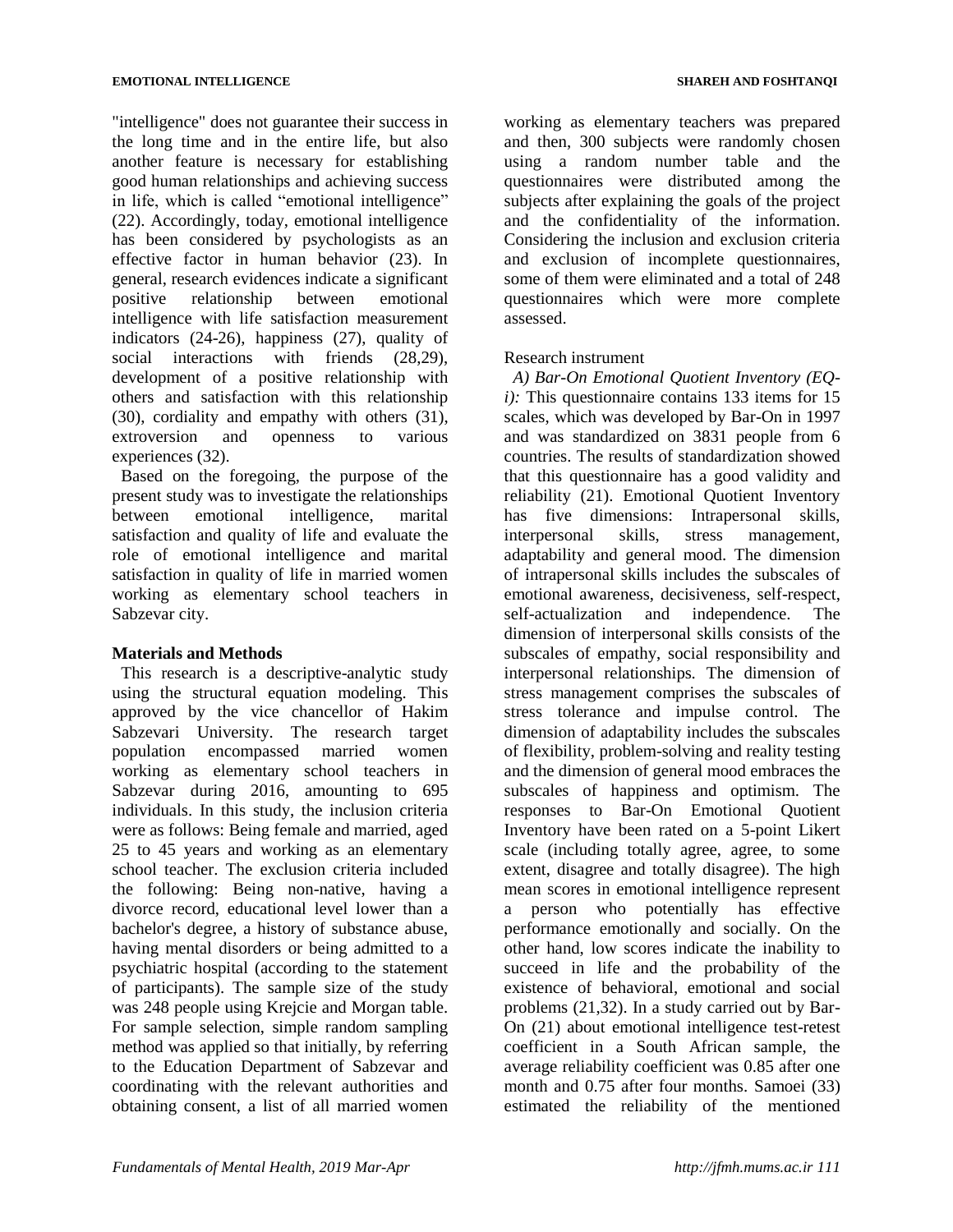"intelligence" does not guarantee their success in the long time and in the entire life, but also another feature is necessary for establishing good human relationships and achieving success in life, which is called "emotional intelligence" (22). Accordingly, today, emotional intelligence has been considered by psychologists as an effective factor in human behavior (23). In general, research evidences indicate a significant positive relationship between emotional intelligence with life satisfaction measurement indicators (24-26), happiness (27), quality of social interactions with friends (28,29), development of a positive relationship with others and satisfaction with this relationship (30), cordiality and empathy with others (31), extroversion and openness to various experiences (32).

Based on the foregoing, the purpose of the present study was to investigate the relationships between emotional intelligence, marital satisfaction and quality of life and evaluate the role of emotional intelligence and marital satisfaction in quality of life in married women working as elementary school teachers in Sabzevar city.

# **Materials and Methods**

This research is a descriptive-analytic study using the structural equation modeling. This approved by the vice chancellor of Hakim Sabzevari University. The research target population encompassed married women working as elementary school teachers in Sabzevar during 2016, amounting to 695 individuals. In this study, the inclusion criteria were as follows: Being female and married, aged 25 to 45 years and working as an elementary school teacher. The exclusion criteria included the following: Being non-native, having a divorce record, educational level lower than a bachelor's degree, a history of substance abuse, having mental disorders or being admitted to a psychiatric hospital (according to the statement of participants). The sample size of the study was 248 people using Krejcie and Morgan table. For sample selection, simple random sampling method was applied so that initially, by referring to the Education Department of Sabzevar and coordinating with the relevant authorities and obtaining consent, a list of all married women

working as elementary teachers was prepared and then, 300 subjects were randomly chosen using a random number table and the questionnaires were distributed among the subjects after explaining the goals of the project and the confidentiality of the information. Considering the inclusion and exclusion criteria and exclusion of incomplete questionnaires, some of them were eliminated and a total of 248 questionnaires which were more complete assessed.

# Research instrument

*A) Bar-On Emotional Quotient Inventory (EQi):* This questionnaire contains 133 items for 15 scales, which was developed by Bar-On in 1997 and was standardized on 3831 people from 6 countries. The results of standardization showed that this questionnaire has a good validity and reliability (21). Emotional Quotient Inventory has five dimensions: Intrapersonal skills, interpersonal skills, stress management, adaptability and general mood. The dimension of intrapersonal skills includes the subscales of emotional awareness, decisiveness, self-respect, self-actualization and independence. The dimension of interpersonal skills consists of the subscales of empathy, social responsibility and interpersonal relationships. The dimension of stress management comprises the subscales of stress tolerance and impulse control. The dimension of adaptability includes the subscales of flexibility, problem-solving and reality testing and the dimension of general mood embraces the subscales of happiness and optimism. The responses to Bar-On Emotional Quotient Inventory have been rated on a 5-point Likert scale (including totally agree, agree, to some extent, disagree and totally disagree). The high mean scores in emotional intelligence represent a person who potentially has effective performance emotionally and socially. On the other hand, low scores indicate the inability to succeed in life and the probability of the existence of behavioral, emotional and social problems (21,32). In a study carried out by Bar-On (21) about emotional intelligence test-retest coefficient in a South African sample, the average reliability coefficient was 0.85 after one month and 0.75 after four months. Samoei (33) estimated the reliability of the mentioned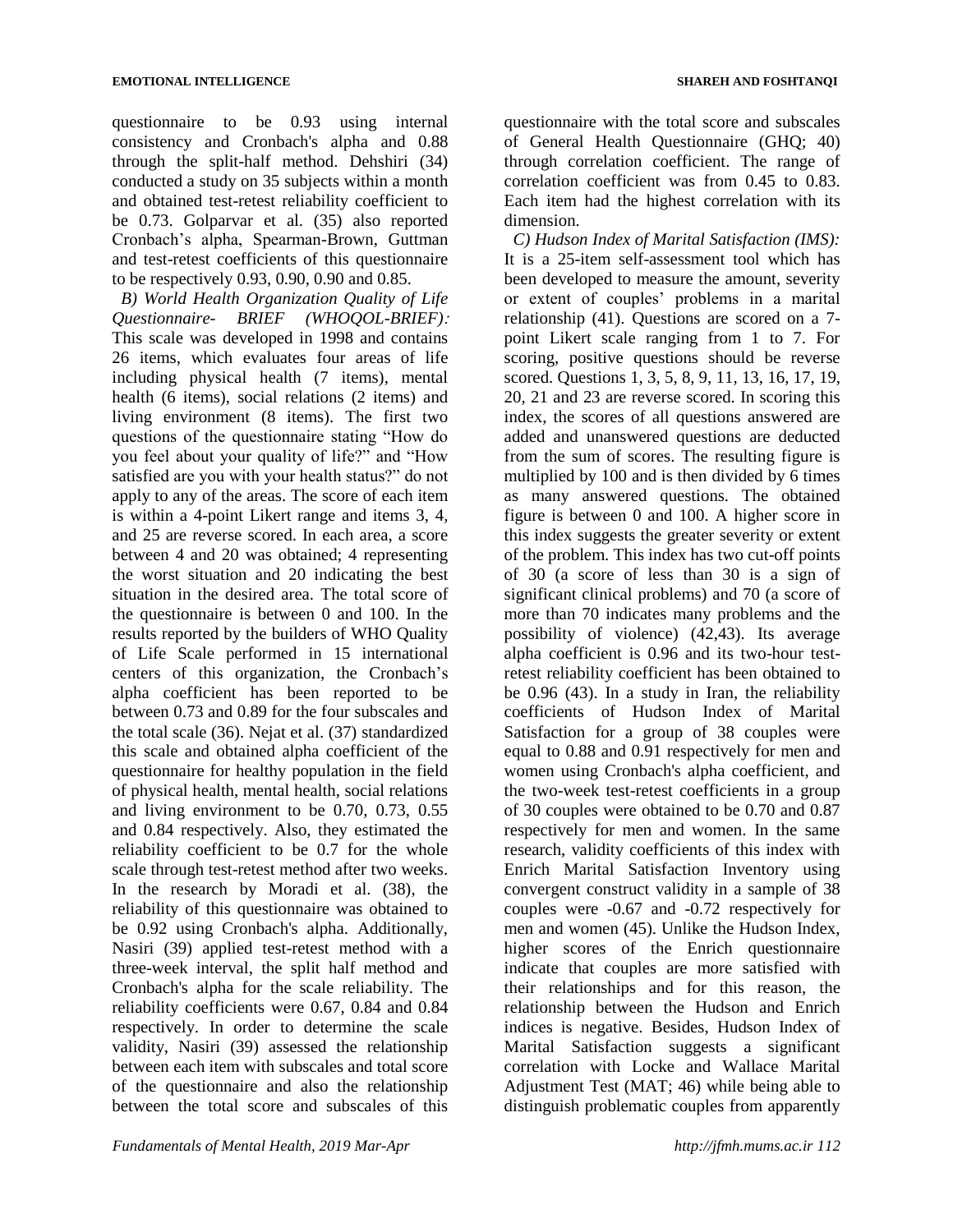questionnaire to be 0.93 using internal consistency and Cronbach's alpha and 0.88 through the split-half method. Dehshiri (34) conducted a study on 35 subjects within a month and obtained test-retest reliability coefficient to be 0.73. Golparvar et al. (35) also reported Cronbach's alpha, Spearman-Brown, Guttman and test-retest coefficients of this questionnaire to be respectively 0.93, 0.90, 0.90 and 0.85.

*B) World Health Organization Quality of Life Questionnaire- BRIEF (WHOQOL-BRIEF):* This scale was developed in 1998 and contains 26 items, which evaluates four areas of life including physical health (7 items), mental health (6 items), social relations (2 items) and living environment (8 items). The first two questions of the questionnaire stating "How do you feel about your quality of life?" and "How satisfied are you with your health status?" do not apply to any of the areas. The score of each item is within a 4-point Likert range and items 3, 4, and 25 are reverse scored. In each area, a score between 4 and 20 was obtained; 4 representing the worst situation and 20 indicating the best situation in the desired area. The total score of the questionnaire is between 0 and 100. In the results reported by the builders of WHO Quality of Life Scale performed in 15 international centers of this organization, the Cronbach's alpha coefficient has been reported to be between 0.73 and 0.89 for the four subscales and the total scale (36). Nejat et al. (37) standardized this scale and obtained alpha coefficient of the questionnaire for healthy population in the field of physical health, mental health, social relations and living environment to be 0.70, 0.73, 0.55 and 0.84 respectively. Also, they estimated the reliability coefficient to be 0.7 for the whole scale through test-retest method after two weeks. In the research by Moradi et al. (38), the reliability of this questionnaire was obtained to be 0.92 using Cronbach's alpha. Additionally, Nasiri (39) applied test-retest method with a three-week interval, the split half method and Cronbach's alpha for the scale reliability. The reliability coefficients were 0.67, 0.84 and 0.84 respectively. In order to determine the scale validity, Nasiri (39) assessed the relationship between each item with subscales and total score of the questionnaire and also the relationship between the total score and subscales of this

questionnaire with the total score and subscales of General Health Questionnaire (GHQ; 40) through correlation coefficient. The range of correlation coefficient was from 0.45 to 0.83. Each item had the highest correlation with its

dimension. *C) Hudson Index of Marital Satisfaction (IMS):* It is a 25-item self-assessment tool which has been developed to measure the amount, severity or extent of couples' problems in a marital relationship (41). Questions are scored on a 7 point Likert scale ranging from 1 to 7. For scoring, positive questions should be reverse scored. Questions 1, 3, 5, 8, 9, 11, 13, 16, 17, 19, 20, 21 and 23 are reverse scored. In scoring this index, the scores of all questions answered are added and unanswered questions are deducted from the sum of scores. The resulting figure is multiplied by 100 and is then divided by 6 times as many answered questions. The obtained figure is between 0 and 100. A higher score in this index suggests the greater severity or extent of the problem. This index has two cut-off points of 30 (a score of less than 30 is a sign of significant clinical problems) and 70 (a score of more than 70 indicates many problems and the possibility of violence) (42,43). Its average alpha coefficient is 0.96 and its two-hour testretest reliability coefficient has been obtained to be 0.96 (43). In a study in Iran, the reliability coefficients of Hudson Index of Marital Satisfaction for a group of 38 couples were equal to 0.88 and 0.91 respectively for men and women using Cronbach's alpha coefficient, and the two-week test-retest coefficients in a group of 30 couples were obtained to be 0.70 and 0.87 respectively for men and women. In the same research, validity coefficients of this index with Enrich Marital Satisfaction Inventory using convergent construct validity in a sample of 38 couples were -0.67 and -0.72 respectively for men and women (45). Unlike the Hudson Index, higher scores of the Enrich questionnaire indicate that couples are more satisfied with their relationships and for this reason, the relationship between the Hudson and Enrich indices is negative. Besides, Hudson Index of Marital Satisfaction suggests a significant correlation with Locke and Wallace Marital Adjustment Test (MAT; 46) while being able to distinguish problematic couples from apparently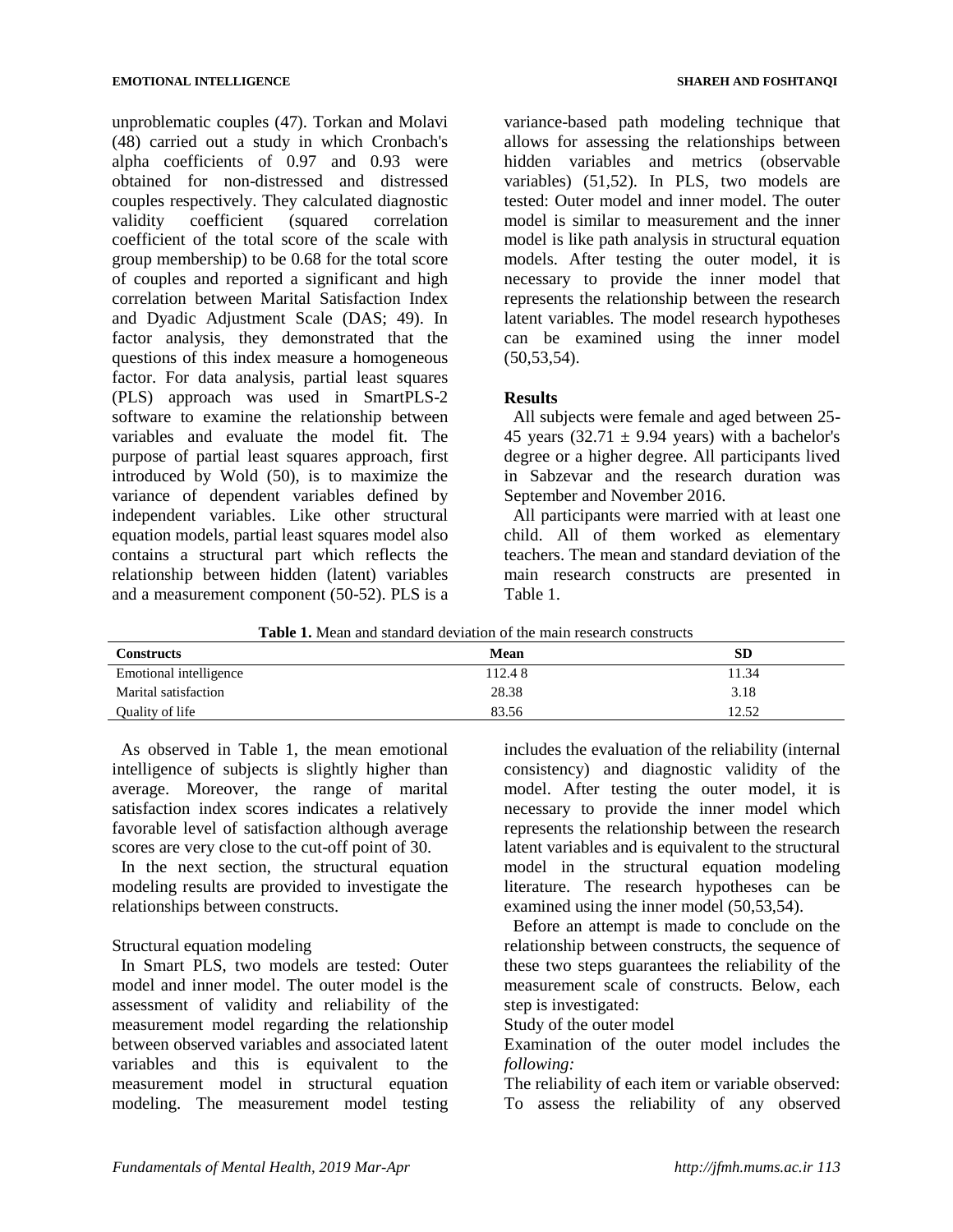unproblematic couples (47). Torkan and Molavi (48) carried out a study in which Cronbach's alpha coefficients of 0.97 and 0.93 were obtained for non-distressed and distressed couples respectively. They calculated diagnostic validity coefficient (squared correlation coefficient of the total score of the scale with group membership) to be 0.68 for the total score of couples and reported a significant and high correlation between Marital Satisfaction Index and Dyadic Adjustment Scale (DAS; 49). In factor analysis, they demonstrated that the questions of this index measure a homogeneous factor. For data analysis, partial least squares (PLS) approach was used in SmartPLS-2 software to examine the relationship between variables and evaluate the model fit. The purpose of partial least squares approach, first introduced by Wold (50), is to maximize the variance of dependent variables defined by independent variables. Like other structural equation models, partial least squares model also contains a structural part which reflects the relationship between hidden (latent) variables and a measurement component (50-52). PLS is a

variance-based path modeling technique that allows for assessing the relationships between hidden variables and metrics (observable variables) (51,52). In PLS, two models are tested: Outer model and inner model. The outer model is similar to measurement and the inner model is like path analysis in structural equation models. After testing the outer model, it is necessary to provide the inner model that represents the relationship between the research latent variables. The model research hypotheses can be examined using the inner model (50,53,54).

# **Results**

All subjects were female and aged between 25- 45 years  $(32.71 \pm 9.94$  years) with a bachelor's degree or a higher degree. All participants lived in Sabzevar and the research duration was September and November 2016.

All participants were married with at least one child. All of them worked as elementary teachers. The mean and standard deviation of the main research constructs are presented in Table 1.

|  |  | <b>Table 1.</b> Mean and standard deviation of the main research constructs |
|--|--|-----------------------------------------------------------------------------|
|  |  |                                                                             |

| <b>Constructs</b>      | Mean   | SD    |
|------------------------|--------|-------|
| Emotional intelligence | 112.48 | 11.34 |
| Marital satisfaction   | 28.38  | 3.18  |
| Quality of life        | 83.56  | 12.52 |

As observed in Table 1, the mean emotional intelligence of subjects is slightly higher than average. Moreover, the range of marital satisfaction index scores indicates a relatively favorable level of satisfaction although average scores are very close to the cut-off point of 30.

In the next section, the structural equation modeling results are provided to investigate the relationships between constructs.

# Structural equation modeling

In Smart PLS, two models are tested: Outer model and inner model. The outer model is the assessment of validity and reliability of the measurement model regarding the relationship between observed variables and associated latent variables and this is equivalent to the measurement model in structural equation modeling. The measurement model testing

includes the evaluation of the reliability (internal consistency) and diagnostic validity of the model. After testing the outer model, it is necessary to provide the inner model which represents the relationship between the research latent variables and is equivalent to the structural model in the structural equation modeling literature. The research hypotheses can be examined using the inner model (50,53,54).

Before an attempt is made to conclude on the relationship between constructs, the sequence of these two steps guarantees the reliability of the measurement scale of constructs. Below, each step is investigated:

# Study of the outer model

Examination of the outer model includes the *following:*

The reliability of each item or variable observed: To assess the reliability of any observed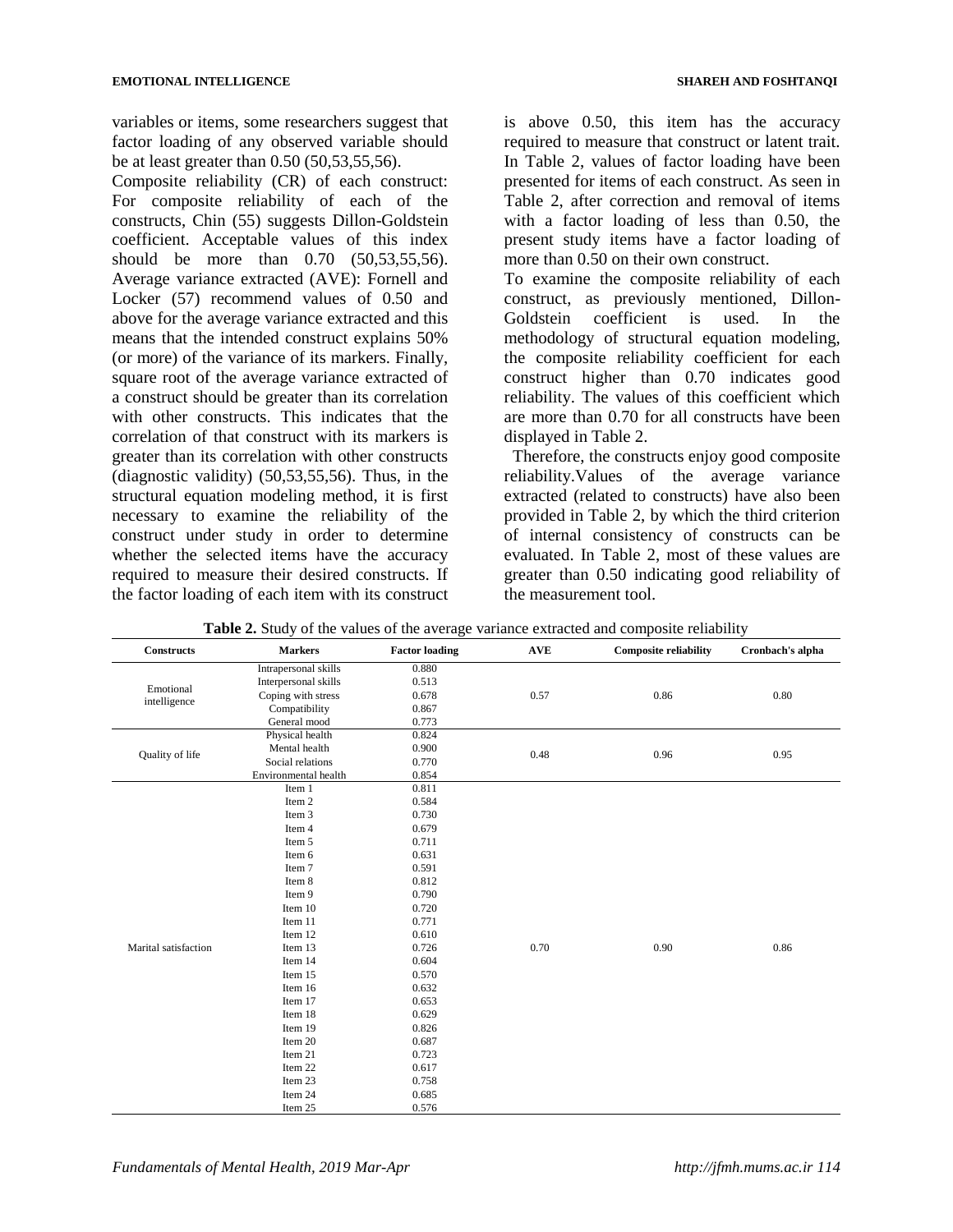variables or items, some researchers suggest that factor loading of any observed variable should be at least greater than 0.50 (50,53,55,56).

Composite reliability (CR) of each construct: For composite reliability of each of the constructs, Chin (55) suggests Dillon-Goldstein coefficient. Acceptable values of this index should be more than 0.70 (50,53,55,56). Average variance extracted (AVE): Fornell and Locker (57) recommend values of 0.50 and above for the average variance extracted and this means that the intended construct explains 50% (or more) of the variance of its markers. Finally, square root of the average variance extracted of a construct should be greater than its correlation with other constructs. This indicates that the correlation of that construct with its markers is greater than its correlation with other constructs (diagnostic validity) (50,53,55,56). Thus, in the structural equation modeling method, it is first necessary to examine the reliability of the construct under study in order to determine whether the selected items have the accuracy required to measure their desired constructs. If the factor loading of each item with its construct

is above 0.50, this item has the accuracy required to measure that construct or latent trait. In Table 2, values of factor loading have been presented for items of each construct. As seen in Table 2, after correction and removal of items with a factor loading of less than 0.50, the present study items have a factor loading of more than 0.50 on their own construct.

To examine the composite reliability of each construct, as previously mentioned, Dillon-Goldstein coefficient is used. In the methodology of structural equation modeling, the composite reliability coefficient for each construct higher than 0.70 indicates good reliability. The values of this coefficient which are more than 0.70 for all constructs have been displayed in Table 2.

 Therefore, the constructs enjoy good composite reliability.Values of the average variance extracted (related to constructs) have also been provided in Table 2, by which the third criterion of internal consistency of constructs can be evaluated. In Table 2, most of these values are greater than 0.50 indicating good reliability of the measurement tool.

| <b>Constructs</b>         | <b>Markers</b>       | <b>Factor loading</b> | <b>AVE</b> | <b>Composite reliability</b> | Cronbach's alpha |
|---------------------------|----------------------|-----------------------|------------|------------------------------|------------------|
|                           | Intrapersonal skills | 0.880                 |            |                              |                  |
|                           | Interpersonal skills | 0.513                 |            |                              |                  |
| Emotional<br>intelligence | Coping with stress   | 0.678                 | 0.57       | 0.86                         | 0.80             |
|                           | Compatibility        | 0.867                 |            |                              |                  |
|                           | General mood         | 0.773                 |            |                              |                  |
|                           | Physical health      | 0.824                 |            |                              |                  |
| Quality of life           | Mental health        | 0.900                 | 0.48       | 0.96                         | 0.95             |
|                           | Social relations     | 0.770                 |            |                              |                  |
|                           | Environmental health | 0.854                 |            |                              |                  |
|                           | Item 1               | 0.811                 |            |                              |                  |
|                           | Item 2               | 0.584                 |            |                              |                  |
|                           | Item 3               | 0.730                 |            |                              |                  |
|                           | Item 4               | 0.679                 |            |                              |                  |
|                           | Item 5               | 0.711                 |            |                              |                  |
|                           | Item 6               | 0.631                 |            |                              |                  |
|                           | Item 7               | 0.591                 |            |                              |                  |
|                           | Item 8               | 0.812                 |            |                              |                  |
|                           | Item 9               | 0.790                 |            |                              |                  |
|                           | Item 10              | 0.720                 |            |                              |                  |
|                           | Item 11              | 0.771                 |            |                              |                  |
|                           | Item 12              | 0.610                 |            |                              |                  |
| Marital satisfaction      | Item 13              | 0.726                 | 0.70       | 0.90                         | 0.86             |
|                           | Item 14              | 0.604                 |            |                              |                  |
|                           | Item 15              | 0.570                 |            |                              |                  |
|                           | Item 16              | 0.632                 |            |                              |                  |
|                           | Item 17              | 0.653                 |            |                              |                  |
|                           | Item 18              | 0.629                 |            |                              |                  |
|                           | Item 19              | 0.826                 |            |                              |                  |
|                           | Item 20              | 0.687                 |            |                              |                  |
|                           | Item 21              | 0.723                 |            |                              |                  |
|                           | Item 22              | 0.617                 |            |                              |                  |
|                           | Item 23              | 0.758                 |            |                              |                  |
|                           | Item 24              | 0.685                 |            |                              |                  |
|                           | Item 25              | 0.576                 |            |                              |                  |

**Table 2.** Study of the values of the average variance extracted and composite reliability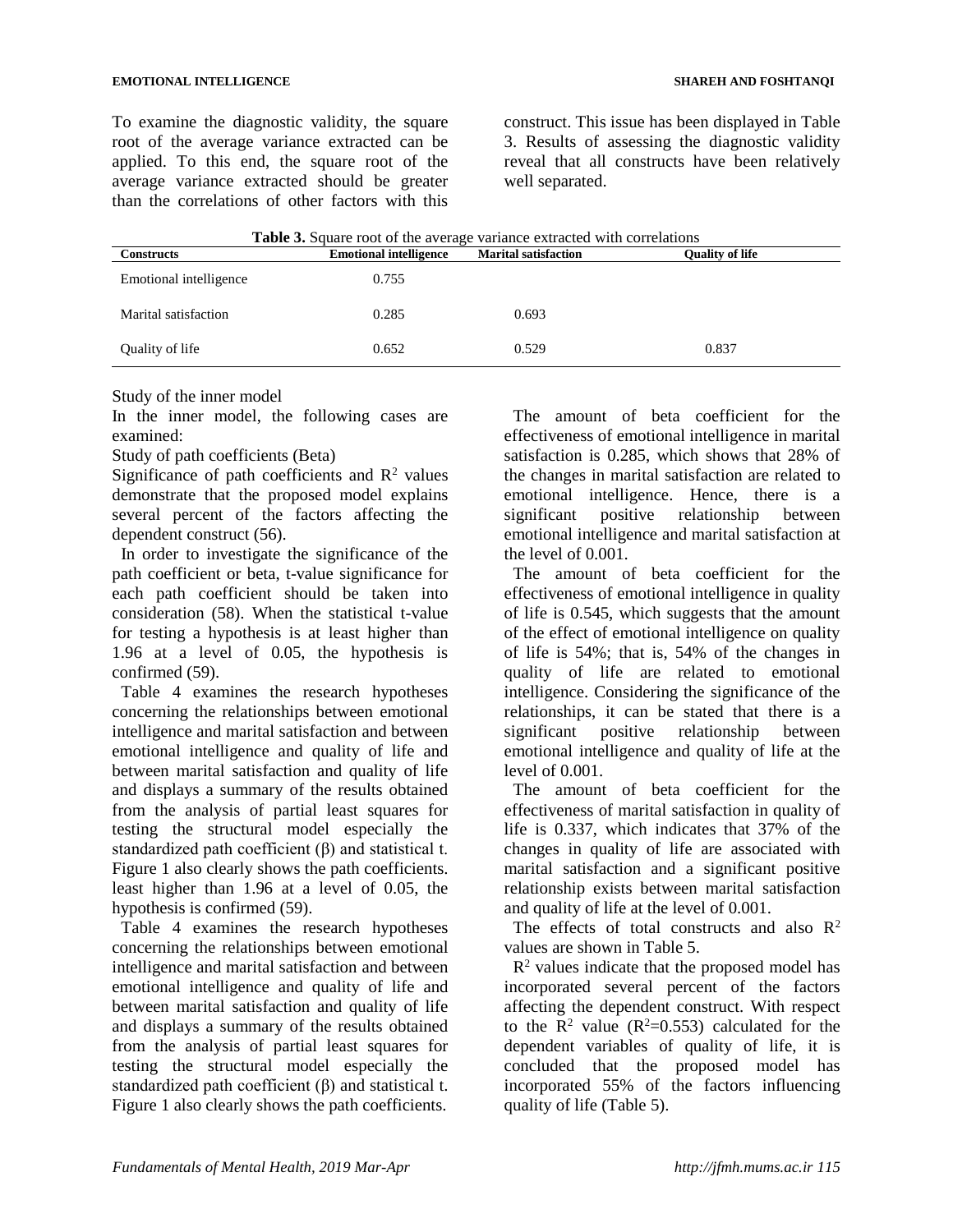To examine the diagnostic validity, the square root of the average variance extracted can be applied. To this end, the square root of the average variance extracted should be greater than the correlations of other factors with this

construct. This issue has been displayed in Table 3. Results of assessing the diagnostic validity reveal that all constructs have been relatively well separated.

| <b>Table 3.</b> Square root of the average variance extracted with correlations |                               |                             |                        |  |
|---------------------------------------------------------------------------------|-------------------------------|-----------------------------|------------------------|--|
| <b>Constructs</b>                                                               | <b>Emotional intelligence</b> | <b>Marital satisfaction</b> | <b>Ouality of life</b> |  |
| Emotional intelligence                                                          | 0.755                         |                             |                        |  |
| Marital satisfaction                                                            | 0.285                         | 0.693                       |                        |  |

Quality of life 0.652 0.529 0.837

Study of the inner model

In the inner model, the following cases are examined:

Study of path coefficients (Beta)

Significance of path coefficients and  $R^2$  values demonstrate that the proposed model explains several percent of the factors affecting the dependent construct (56).

In order to investigate the significance of the path coefficient or beta, t-value significance for each path coefficient should be taken into consideration (58). When the statistical t-value for testing a hypothesis is at least higher than 1.96 at a level of 0.05, the hypothesis is confirmed (59).

Table 4 examines the research hypotheses concerning the relationships between emotional intelligence and marital satisfaction and between emotional intelligence and quality of life and between marital satisfaction and quality of life and displays a summary of the results obtained from the analysis of partial least squares for testing the structural model especially the standardized path coefficient (β) and statistical t. Figure 1 also clearly shows the path coefficients. least higher than 1.96 at a level of 0.05, the hypothesis is confirmed (59).

Table 4 examines the research hypotheses concerning the relationships between emotional intelligence and marital satisfaction and between emotional intelligence and quality of life and between marital satisfaction and quality of life and displays a summary of the results obtained from the analysis of partial least squares for testing the structural model especially the standardized path coefficient  $(\beta)$  and statistical t. Figure 1 also clearly shows the path coefficients.

The amount of beta coefficient for the effectiveness of emotional intelligence in marital satisfaction is 0.285, which shows that 28% of the changes in marital satisfaction are related to emotional intelligence. Hence, there is a significant positive relationship between emotional intelligence and marital satisfaction at the level of 0.001.

The amount of beta coefficient for the effectiveness of emotional intelligence in quality of life is 0.545, which suggests that the amount of the effect of emotional intelligence on quality of life is 54%; that is, 54% of the changes in quality of life are related to emotional intelligence. Considering the significance of the relationships, it can be stated that there is a significant positive relationship between emotional intelligence and quality of life at the level of 0.001.

The amount of beta coefficient for the effectiveness of marital satisfaction in quality of life is 0.337, which indicates that 37% of the changes in quality of life are associated with marital satisfaction and a significant positive relationship exists between marital satisfaction and quality of life at the level of 0.001.

The effects of total constructs and also  $\mathbb{R}^2$ values are shown in Table 5.

 $R<sup>2</sup>$  values indicate that the proposed model has incorporated several percent of the factors affecting the dependent construct. With respect to the  $\overrightarrow{R}^2$  value ( $R^2$ =0.553) calculated for the dependent variables of quality of life, it is concluded that the proposed model has incorporated 55% of the factors influencing quality of life (Table 5).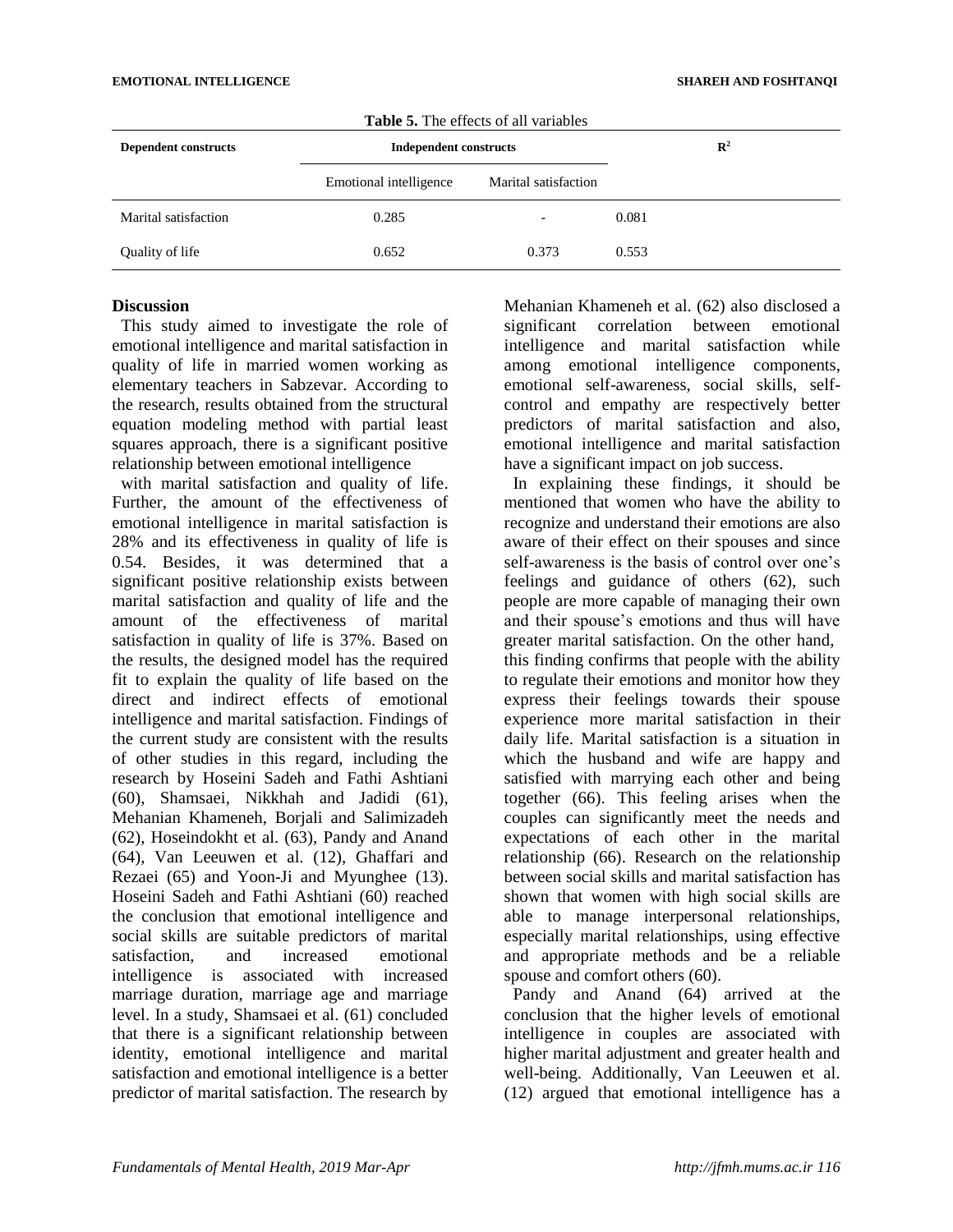| <b>Dependent constructs</b> | <b>Table 5.</b> The effects of all variables<br><b>Independent constructs</b> |                      | $\mathbb{R}^2$ |
|-----------------------------|-------------------------------------------------------------------------------|----------------------|----------------|
|                             | Emotional intelligence                                                        | Marital satisfaction |                |
| Marital satisfaction        | 0.285                                                                         |                      | 0.081          |
| Quality of life             | 0.652                                                                         | 0.373                | 0.553          |

 $T_{\text{L}}$ **LI.**  $\mathcal{F}$ . The effects of all

#### **Discussion**

This study aimed to investigate the role of emotional intelligence and marital satisfaction in quality of life in married women working as elementary teachers in Sabzevar. According to the research, results obtained from the structural equation modeling method with partial least squares approach, there is a significant positive relationship between emotional intelligence

with marital satisfaction and quality of life. Further, the amount of the effectiveness of emotional intelligence in marital satisfaction is 28% and its effectiveness in quality of life is 0.54. Besides, it was determined that a significant positive relationship exists between marital satisfaction and quality of life and the amount of the effectiveness of marital satisfaction in quality of life is 37%. Based on the results, the designed model has the required fit to explain the quality of life based on the direct and indirect effects of emotional intelligence and marital satisfaction. Findings of the current study are consistent with the results of other studies in this regard, including the research by Hoseini Sadeh and Fathi Ashtiani (60), Shamsaei, Nikkhah and Jadidi (61), Mehanian Khameneh, Borjali and Salimizadeh (62), Hoseindokht et al. (63), Pandy and Anand (64), Van Leeuwen et al. (12), Ghaffari and Rezaei (65) and Yoon-Ji and Myunghee (13). Hoseini Sadeh and Fathi Ashtiani (60) reached the conclusion that emotional intelligence and social skills are suitable predictors of marital satisfaction, and increased emotional intelligence is associated with increased marriage duration, marriage age and marriage level. In a study, Shamsaei et al. (61) concluded that there is a significant relationship between identity, emotional intelligence and marital satisfaction and emotional intelligence is a better predictor of marital satisfaction. The research by

Mehanian Khameneh et al. (62) also disclosed a significant correlation between emotional intelligence and marital satisfaction while among emotional intelligence components, emotional self-awareness, social skills, selfcontrol and empathy are respectively better predictors of marital satisfaction and also, emotional intelligence and marital satisfaction have a significant impact on job success.

In explaining these findings, it should be mentioned that women who have the ability to recognize and understand their emotions are also aware of their effect on their spouses and since self-awareness is the basis of control over one's feelings and guidance of others (62), such people are more capable of managing their own and their spouse's emotions and thus will have greater marital satisfaction. On the other hand, this finding confirms that people with the ability to regulate their emotions and monitor how they express their feelings towards their spouse experience more marital satisfaction in their daily life. Marital satisfaction is a situation in which the husband and wife are happy and satisfied with marrying each other and being together (66). This feeling arises when the couples can significantly meet the needs and expectations of each other in the marital relationship (66). Research on the relationship between social skills and marital satisfaction has shown that women with high social skills are able to manage interpersonal relationships, especially marital relationships, using effective and appropriate methods and be a reliable spouse and comfort others (60).

Pandy and Anand (64) arrived at the conclusion that the higher levels of emotional intelligence in couples are associated with higher marital adjustment and greater health and well-being. Additionally, Van Leeuwen et al. (12) argued that emotional intelligence has a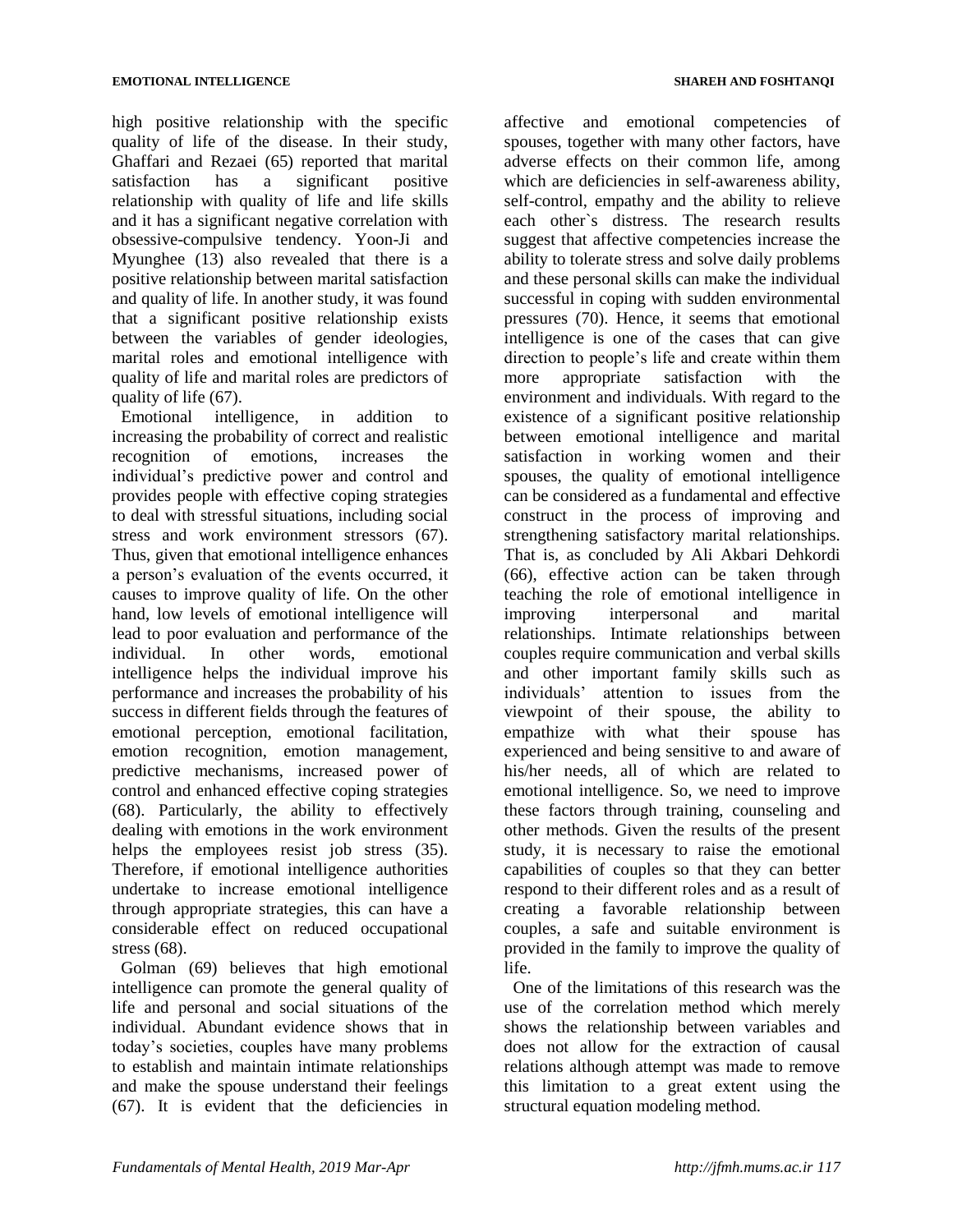high positive relationship with the specific quality of life of the disease. In their study, Ghaffari and Rezaei (65) reported that marital satisfaction has a significant positive relationship with quality of life and life skills and it has a significant negative correlation with obsessive-compulsive tendency. Yoon-Ji and Myunghee (13) also revealed that there is a positive relationship between marital satisfaction and quality of life. In another study, it was found that a significant positive relationship exists between the variables of gender ideologies, marital roles and emotional intelligence with quality of life and marital roles are predictors of quality of life (67).

Emotional intelligence, in addition to increasing the probability of correct and realistic recognition of emotions, increases the individual's predictive power and control and provides people with effective coping strategies to deal with stressful situations, including social stress and work environment stressors (67). Thus, given that emotional intelligence enhances a person's evaluation of the events occurred, it causes to improve quality of life. On the other hand, low levels of emotional intelligence will lead to poor evaluation and performance of the individual. In other words, emotional intelligence helps the individual improve his performance and increases the probability of his success in different fields through the features of emotional perception, emotional facilitation, emotion recognition, emotion management, predictive mechanisms, increased power of control and enhanced effective coping strategies (68). Particularly, the ability to effectively dealing with emotions in the work environment helps the employees resist job stress (35). Therefore, if emotional intelligence authorities undertake to increase emotional intelligence through appropriate strategies, this can have a considerable effect on reduced occupational stress (68).

Golman (69) believes that high emotional intelligence can promote the general quality of life and personal and social situations of the individual. Abundant evidence shows that in today's societies, couples have many problems to establish and maintain intimate relationships and make the spouse understand their feelings (67). It is evident that the deficiencies in

affective and emotional competencies of spouses, together with many other factors, have adverse effects on their common life, among which are deficiencies in self-awareness ability, self-control, empathy and the ability to relieve each other`s distress. The research results suggest that affective competencies increase the ability to tolerate stress and solve daily problems and these personal skills can make the individual successful in coping with sudden environmental pressures (70). Hence, it seems that emotional intelligence is one of the cases that can give direction to people's life and create within them more appropriate satisfaction with the environment and individuals. With regard to the existence of a significant positive relationship between emotional intelligence and marital satisfaction in working women and their spouses, the quality of emotional intelligence can be considered as a fundamental and effective construct in the process of improving and strengthening satisfactory marital relationships. That is, as concluded by Ali Akbari Dehkordi (66), effective action can be taken through teaching the role of emotional intelligence in improving interpersonal and marital relationships. Intimate relationships between couples require communication and verbal skills and other important family skills such as individuals' attention to issues from the viewpoint of their spouse, the ability to empathize with what their spouse has experienced and being sensitive to and aware of his/her needs, all of which are related to emotional intelligence. So, we need to improve these factors through training, counseling and other methods. Given the results of the present study, it is necessary to raise the emotional capabilities of couples so that they can better respond to their different roles and as a result of creating a favorable relationship between couples, a safe and suitable environment is provided in the family to improve the quality of life.

One of the limitations of this research was the use of the correlation method which merely shows the relationship between variables and does not allow for the extraction of causal relations although attempt was made to remove this limitation to a great extent using the structural equation modeling method.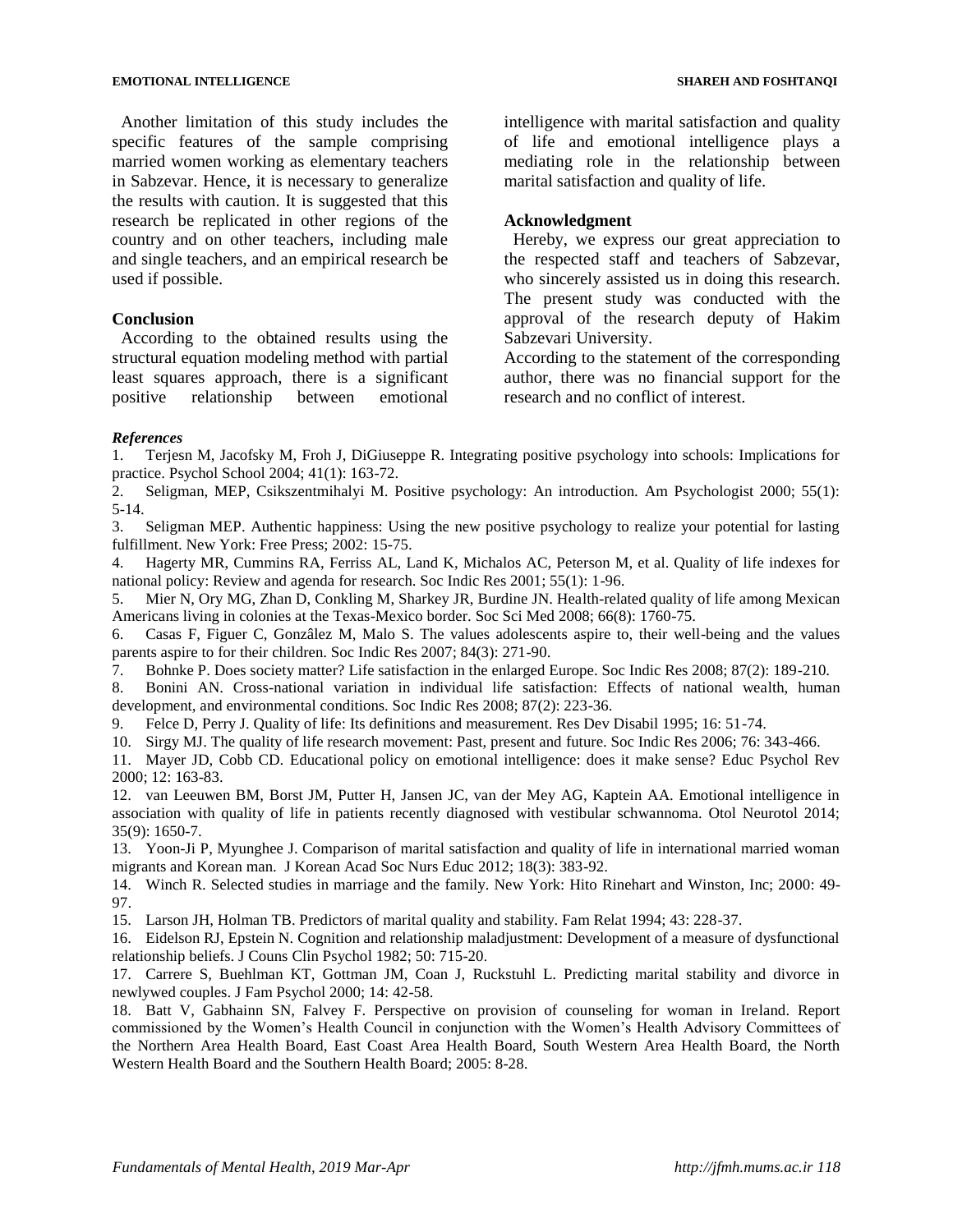Another limitation of this study includes the specific features of the sample comprising married women working as elementary teachers in Sabzevar. Hence, it is necessary to generalize the results with caution. It is suggested that this research be replicated in other regions of the country and on other teachers, including male and single teachers, and an empirical research be used if possible.

### **Conclusion**

According to the obtained results using the structural equation modeling method with partial least squares approach, there is a significant positive relationship between emotional

intelligence with marital satisfaction and quality of life and emotional intelligence plays a mediating role in the relationship between marital satisfaction and quality of life.

### **Acknowledgment**

Hereby, we express our great appreciation to the respected staff and teachers of Sabzevar, who sincerely assisted us in doing this research. The present study was conducted with the approval of the research deputy of Hakim Sabzevari University.

According to the statement of the corresponding author, there was no financial support for the research and no conflict of interest.

#### *References*

1. Terjesn M, Jacofsky M, Froh J, DiGiuseppe R. Integrating positive psychology into schools: Implications for practice. Psychol School 2004; 41(1): 163-72.

2. Seligman, MEP, Csikszentmihalyi M. Positive psychology: An introduction. Am Psychologist 2000; 55(1): 5-14.

3. Seligman MEP. Authentic happiness: Using the new positive psychology to realize your potential for lasting fulfillment. New York: Free Press; 2002: 15-75.

4. Hagerty MR, Cummins RA, Ferriss AL, Land K, Michalos AC, Peterson M, et al. Quality of life indexes for national policy: Review and agenda for research. Soc Indic Res 2001; 55(1): 1-96.

5. Mier N, Ory MG, Zhan D, Conkling M, Sharkey JR, Burdine JN. Health-related quality of life among Mexican Americans living in colonies at the Texas-Mexico border. Soc Sci Med 2008; 66(8): 1760-75.

6. Casas F, Figuer C, Gonzâlez M, Malo S. The values adolescents aspire to, their well-being and the values parents aspire to for their children. Soc Indic Res 2007; 84(3): 271-90.

7. Bohnke P. Does society matter? Life satisfaction in the enlarged Europe. Soc Indic Res 2008; 87(2): 189-210.

8. Bonini AN. Cross-national variation in individual life satisfaction: Effects of national wealth, human development, and environmental conditions. Soc Indic Res 2008; 87(2): 223-36.

9. Felce D, Perry J. Quality of life: Its definitions and measurement. Res Dev Disabil 1995; 16: 51-74.

10. Sirgy MJ. The quality of life research movement: Past, present and future. Soc Indic Res 2006; 76: 343-466.

11. Mayer JD, Cobb CD. Educational policy on emotional intelligence: does it make sense? Educ Psychol Rev 2000; 12: 163-83.

12. van Leeuwen BM, Borst JM, Putter H, Jansen JC, van der Mey AG, Kaptein AA. Emotional intelligence in association with quality of life in patients recently diagnosed with vestibular schwannoma. Otol Neurotol 2014; 35(9): 1650-7.

13. Yoon-Ji P, Myunghee J. Comparison of marital satisfaction and quality of life in international married woman migrants and Korean man. J Korean Acad Soc Nurs Educ 2012; 18(3): 383-92.

14. Winch R. Selected studies in marriage and the family. New York: Hito Rinehart and Winston, Inc; 2000: 49- 97.

15. Larson JH, Holman TB. Predictors of marital quality and stability. Fam Relat 1994; 43: 228-37.

16. Eidelson RJ, Epstein N. Cognition and relationship maladjustment: Development of a measure of dysfunctional relationship beliefs. J Couns Clin Psychol 1982; 50: 715-20.

17. Carrere S, Buehlman KT, Gottman JM, Coan J, Ruckstuhl L. Predicting marital stability and divorce in newlywed couples. J Fam Psychol 2000; 14: 42-58.

18. Batt V, Gabhainn SN, Falvey F. Perspective on provision of counseling for woman in Ireland. Report commissioned by the Women's Health Council in conjunction with the Women's Health Advisory Committees of the Northern Area Health Board, East Coast Area Health Board, South Western Area Health Board, the North Western Health Board and the Southern Health Board; 2005: 8-28.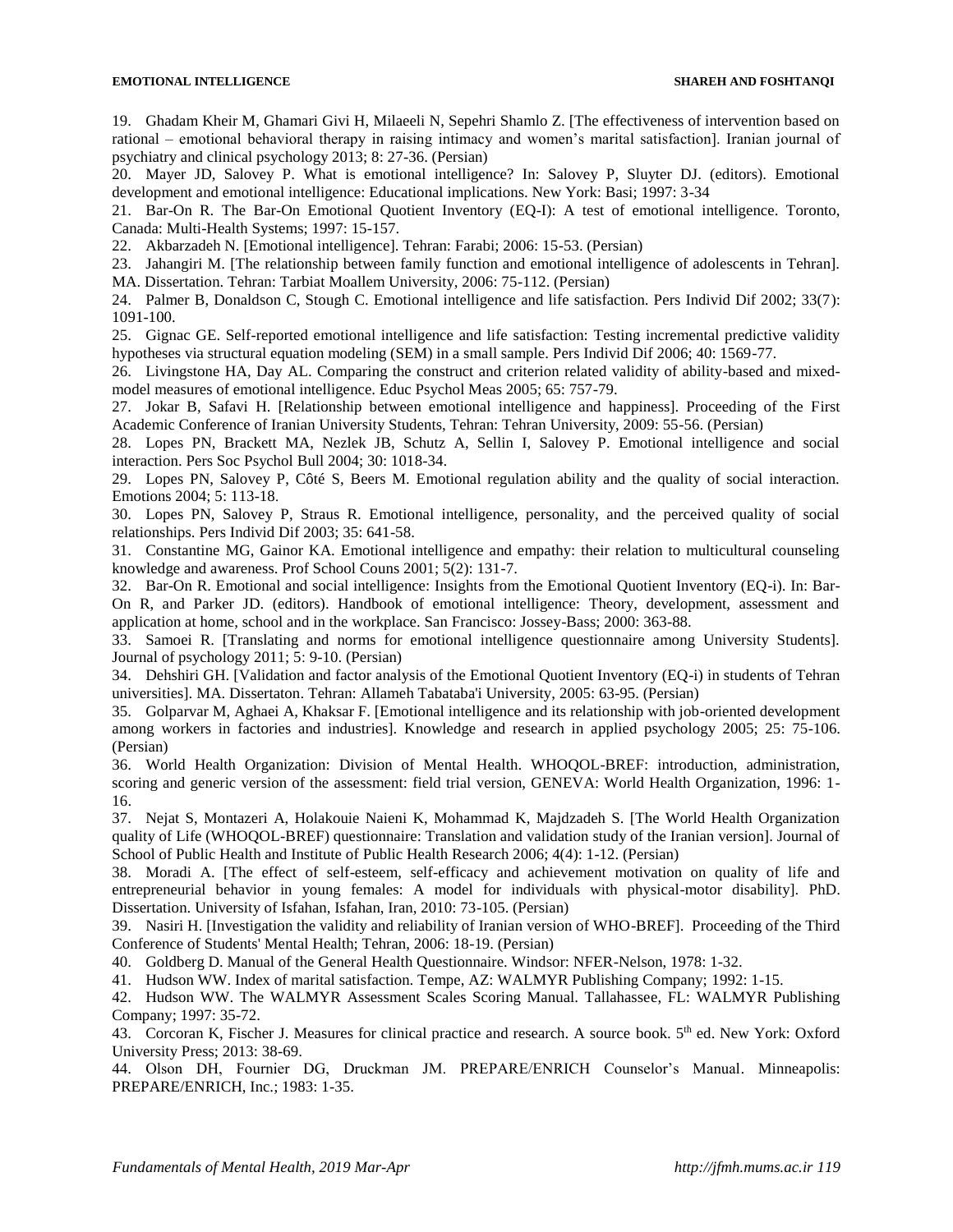19. Ghadam Kheir M, Ghamari Givi H, Milaeeli N, Sepehri Shamlo Z. [The effectiveness of intervention based on rational – emotional behavioral therapy in raising intimacy and women's marital satisfaction]. Iranian journal of psychiatry and clinical psychology 2013; 8: 27-36. (Persian)

20. Mayer JD, Salovey P. What is emotional intelligence? In: Salovey P, Sluyter DJ. (editors). Emotional development and emotional intelligence: Educational implications. New York: Basi; 1997: 3-34

21. Bar-On R. The Bar-On Emotional Quotient Inventory (EQ-I): A test of emotional intelligence. Toronto, Canada: Multi-Health Systems; 1997: 15-157.

22. Akbarzadeh N. [Emotional intelligence]. Tehran: Farabi; 2006: 15-53. (Persian)

23. Jahangiri M. [The relationship between family function and emotional intelligence of adolescents in Tehran].

MA. Dissertation. Tehran: Tarbiat Moallem University, 2006: 75-112. (Persian)

24. Palmer B, Donaldson C, Stough C. Emotional intelligence and life satisfaction. Pers Individ Dif 2002; 33(7): 1091-100.

25. Gignac GE. Self-reported emotional intelligence and life satisfaction: Testing incremental predictive validity hypotheses via structural equation modeling (SEM) in a small sample. Pers Individ Dif 2006; 40: 1569-77.

26. Livingstone HA, Day AL. Comparing the construct and criterion related validity of ability-based and mixedmodel measures of emotional intelligence. Educ Psychol Meas 2005; 65: 757-79.

27. Jokar B, Safavi H. [Relationship between emotional intelligence and happiness]. Proceeding of the First Academic Conference of Iranian University Students, Tehran: Tehran University, 2009: 55-56. (Persian)

28. Lopes PN, Brackett MA, Nezlek JB, Schutz A, Sellin I, Salovey P. Emotional intelligence and social interaction. Pers Soc Psychol Bull 2004; 30: 1018-34.

29. Lopes PN, Salovey P, Côté S, Beers M. Emotional regulation ability and the quality of social interaction. Emotions 2004; 5: 113-18.

30. Lopes PN, Salovey P, Straus R. Emotional intelligence, personality, and the perceived quality of social relationships. Pers Individ Dif 2003; 35: 641-58.

31. Constantine MG, Gainor KA. Emotional intelligence and empathy: their relation to multicultural counseling knowledge and awareness. Prof School Couns 2001; 5(2): 131-7.

32. Bar-On R. Emotional and social intelligence: Insights from the Emotional Quotient Inventory (EQ-i). In: Bar-On R, and Parker JD. (editors). Handbook of emotional intelligence: Theory, development, assessment and application at home, school and in the workplace. San Francisco: Jossey-Bass; 2000: 363-88.

33. Samoei R. [Translating and norms for emotional intelligence questionnaire among University Students]. Journal of psychology 2011; 5: 9-10. (Persian)

34. Dehshiri GH. [Validation and factor analysis of the Emotional Quotient Inventory (EQ-i) in students of Tehran universities]. MA. Dissertaton. Tehran[: Allameh Tabataba'i University,](https://www.google.com/url?sa=t&rct=j&q=&esrc=s&source=web&cd=1&cad=rja&uact=8&ved=0ahUKEwiEsLiipPfKAhXLkSwKHYpEBksQFgghMAA&url=http%3A%2F%2Fatu.ac.ir%2Fen&usg=AFQjCNG0euRW3PH8Uk6uTodHIqVT4V5qZg&sig2=CkbkKdY2WthW4ZMUkL1SNg) 2005: 63-95. (Persian)

35. Golparvar M, Aghaei A, Khaksar F. [Emotional intelligence and its relationship with job-oriented development among workers in factories and industries]. Knowledge and research in applied psychology 2005; 25: 75-106. (Persian)

36. World Health Organization: Division of Mental Health. WHOQOL-BREF: introduction, administration, scoring and generic version of the assessment: field trial version, GENEVA: World Health Organization, 1996: 1- 16.

37. Nejat S, Montazeri A, Holakouie Naieni K, Mohammad K, Majdzadeh S. [The World Health Organization quality of Life (WHOQOL-BREF) questionnaire: Translation and validation study of the Iranian version]. Journal of School of Public Health and Institute of Public Health Research 2006; 4(4): 1-12. (Persian)

38. Moradi A. [The effect of self-esteem, self-efficacy and achievement motivation on quality of life and entrepreneurial behavior in young females: A model for individuals with physical-motor disability]. PhD. Dissertation. University of Isfahan, Isfahan, Iran, 2010: 73-105. (Persian)

39. Nasiri H. [Investigation the validity and reliability of Iranian version of WHO-BREF]. Proceeding of the Third Conference of Students' Mental Health; Tehran, 2006: 18-19. (Persian)

40. Goldberg D. Manual of the General Health Questionnaire. Windsor: NFER-Nelson, 1978: 1-32.

41. Hudson WW. Index of marital satisfaction. Tempe, AZ: WALMYR Publishing Company; 1992: 1-15.

42. Hudson WW. The WALMYR Assessment Scales Scoring Manual. Tallahassee, FL: WALMYR Publishing Company; 1997: 35-72.

43. Corcoran K, Fischer J. Measures for clinical practice and research. A source book. 5<sup>th</sup> ed. New York: Oxford University Press; 2013: 38-69.

44. Olson DH, Fournier DG, Druckman JM. PREPARE/ENRICH Counselor's Manual. Minneapolis: PREPARE/ENRICH, Inc.; 1983: 1-35.